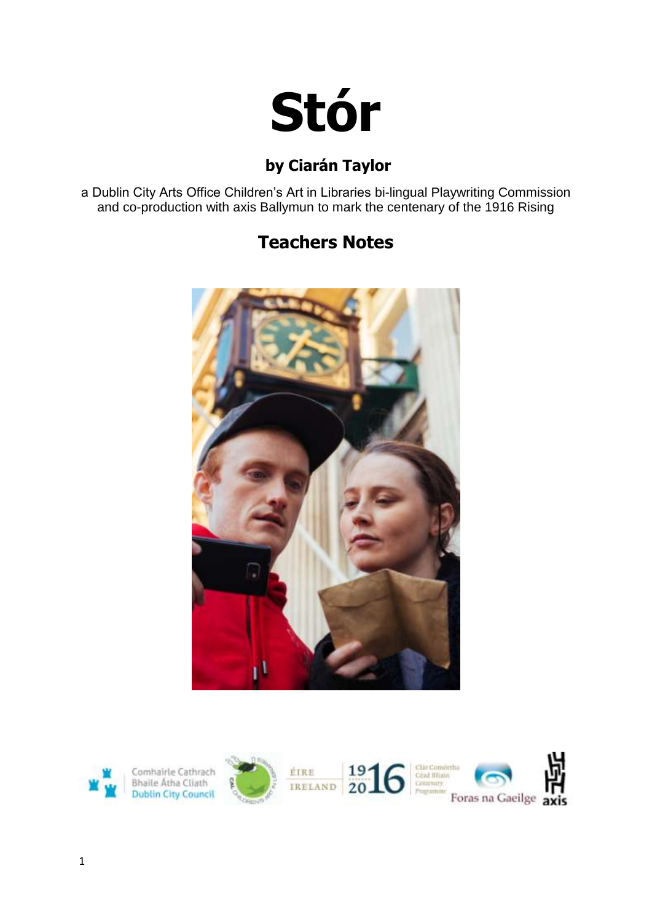

# **by Ciarán Taylor**

a Dublin City Arts Office Children's Art in Libraries bi-lingual Playwriting Commission and co-production with axis Ballymun to mark the centenary of the 1916 Rising

# **Teachers Notes**



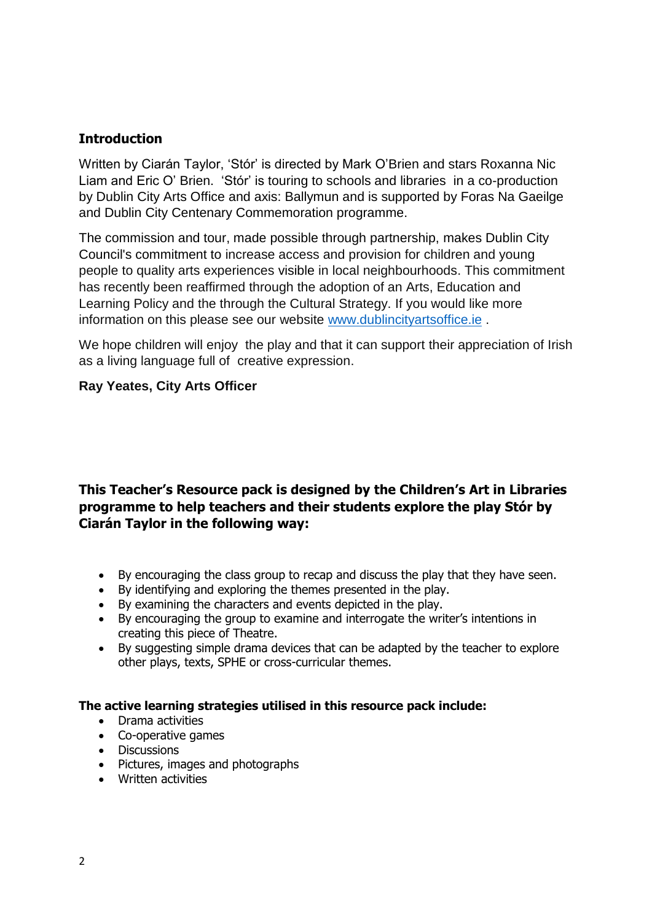### **Introduction**

Written by Ciarán Taylor, 'Stór' is directed by Mark O'Brien and stars Roxanna Nic Liam and Eric O' Brien. 'Stór' is touring to schools and libraries in a co-production by Dublin City Arts Office and axis: Ballymun and is supported by Foras Na Gaeilge and Dublin City Centenary Commemoration programme.

The commission and tour, made possible through partnership, makes Dublin City Council's commitment to increase access and provision for children and young people to quality arts experiences visible in local neighbourhoods. This commitment has recently been reaffirmed through the adoption of an Arts, Education and Learning Policy and the through the Cultural Strategy. If you would like more information on this please see our website [www.dublincityartsoffice.ie](http://www.dublincityartsoffice.ie/) .

We hope children will enjoy the play and that it can support their appreciation of Irish as a living language full of creative expression.

### **Ray Yeates, City Arts Officer**

### **This Teacher's Resource pack is designed by the Children's Art in Libraries programme to help teachers and their students explore the play Stór by Ciarán Taylor in the following way:**

- By encouraging the class group to recap and discuss the play that they have seen.
- By identifying and exploring the themes presented in the play.
- By examining the characters and events depicted in the play.
- By encouraging the group to examine and interrogate the writer's intentions in creating this piece of Theatre.
- By suggesting simple drama devices that can be adapted by the teacher to explore other plays, texts, SPHE or cross-curricular themes.

### **The active learning strategies utilised in this resource pack include:**

- Drama activities
- Co-operative games
- Discussions
- Pictures, images and photographs
- Written activities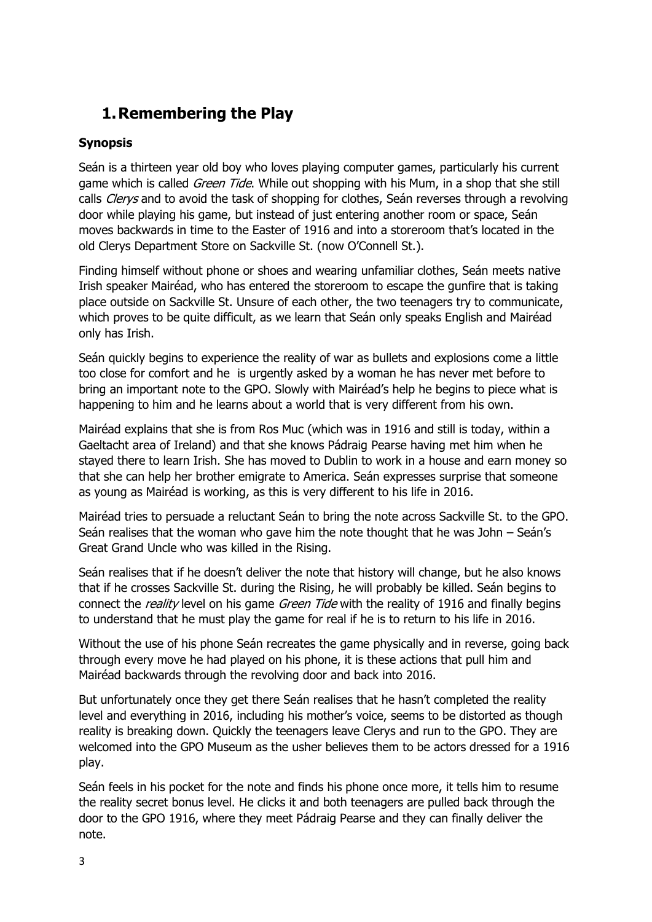# **1.Remembering the Play**

### **Synopsis**

Seán is a thirteen year old boy who loves playing computer games, particularly his current game which is called *Green Tide*. While out shopping with his Mum, in a shop that she still calls *Clerys* and to avoid the task of shopping for clothes, Seán reverses through a revolving door while playing his game, but instead of just entering another room or space, Seán moves backwards in time to the Easter of 1916 and into a storeroom that's located in the old Clerys Department Store on Sackville St. (now O'Connell St.).

Finding himself without phone or shoes and wearing unfamiliar clothes, Seán meets native Irish speaker Mairéad, who has entered the storeroom to escape the gunfire that is taking place outside on Sackville St. Unsure of each other, the two teenagers try to communicate, which proves to be quite difficult, as we learn that Seán only speaks English and Mairéad only has Irish.

Seán quickly begins to experience the reality of war as bullets and explosions come a little too close for comfort and he is urgently asked by a woman he has never met before to bring an important note to the GPO. Slowly with Mairéad's help he begins to piece what is happening to him and he learns about a world that is very different from his own.

Mairéad explains that she is from Ros Muc (which was in 1916 and still is today, within a Gaeltacht area of Ireland) and that she knows Pádraig Pearse having met him when he stayed there to learn Irish. She has moved to Dublin to work in a house and earn money so that she can help her brother emigrate to America. Seán expresses surprise that someone as young as Mairéad is working, as this is very different to his life in 2016.

Mairéad tries to persuade a reluctant Seán to bring the note across Sackville St. to the GPO. Seán realises that the woman who gave him the note thought that he was John – Seán's Great Grand Uncle who was killed in the Rising.

Seán realises that if he doesn't deliver the note that history will change, but he also knows that if he crosses Sackville St. during the Rising, he will probably be killed. Seán begins to connect the *reality* level on his game *Green Tide* with the reality of 1916 and finally begins to understand that he must play the game for real if he is to return to his life in 2016.

Without the use of his phone Seán recreates the game physically and in reverse, going back through every move he had played on his phone, it is these actions that pull him and Mairéad backwards through the revolving door and back into 2016.

But unfortunately once they get there Seán realises that he hasn't completed the reality level and everything in 2016, including his mother's voice, seems to be distorted as though reality is breaking down. Quickly the teenagers leave Clerys and run to the GPO. They are welcomed into the GPO Museum as the usher believes them to be actors dressed for a 1916 play.

Seán feels in his pocket for the note and finds his phone once more, it tells him to resume the reality secret bonus level. He clicks it and both teenagers are pulled back through the door to the GPO 1916, where they meet Pádraig Pearse and they can finally deliver the note.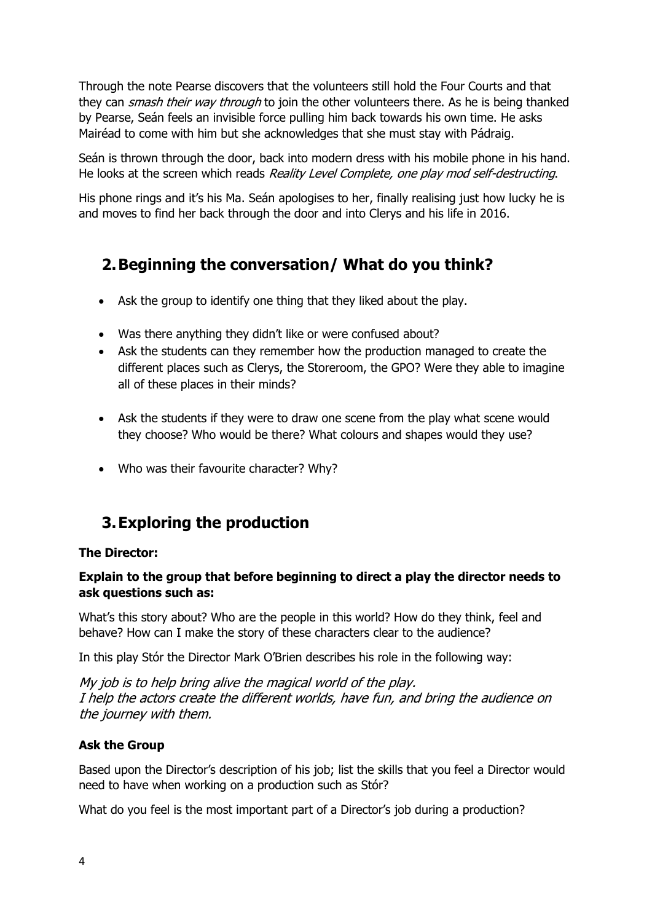Through the note Pearse discovers that the volunteers still hold the Four Courts and that they can *smash their way through* to join the other volunteers there. As he is being thanked by Pearse, Seán feels an invisible force pulling him back towards his own time. He asks Mairéad to come with him but she acknowledges that she must stay with Pádraig.

Seán is thrown through the door, back into modern dress with his mobile phone in his hand. He looks at the screen which reads Reality Level Complete, one play mod self-destructing.

His phone rings and it's his Ma. Seán apologises to her, finally realising just how lucky he is and moves to find her back through the door and into Clerys and his life in 2016.

# **2.Beginning the conversation/ What do you think?**

- Ask the group to identify one thing that they liked about the play.
- Was there anything they didn't like or were confused about?
- Ask the students can they remember how the production managed to create the different places such as Clerys, the Storeroom, the GPO? Were they able to imagine all of these places in their minds?
- Ask the students if they were to draw one scene from the play what scene would they choose? Who would be there? What colours and shapes would they use?
- Who was their favourite character? Why?

# **3.Exploring the production**

### **The Director:**

### **Explain to the group that before beginning to direct a play the director needs to ask questions such as:**

What's this story about? Who are the people in this world? How do they think, feel and behave? How can I make the story of these characters clear to the audience?

In this play Stór the Director Mark O'Brien describes his role in the following way:

My job is to help bring alive the magical world of the play. I help the actors create the different worlds, have fun, and bring the audience on the journey with them.

### **Ask the Group**

Based upon the Director's description of his job; list the skills that you feel a Director would need to have when working on a production such as Stór?

What do you feel is the most important part of a Director's job during a production?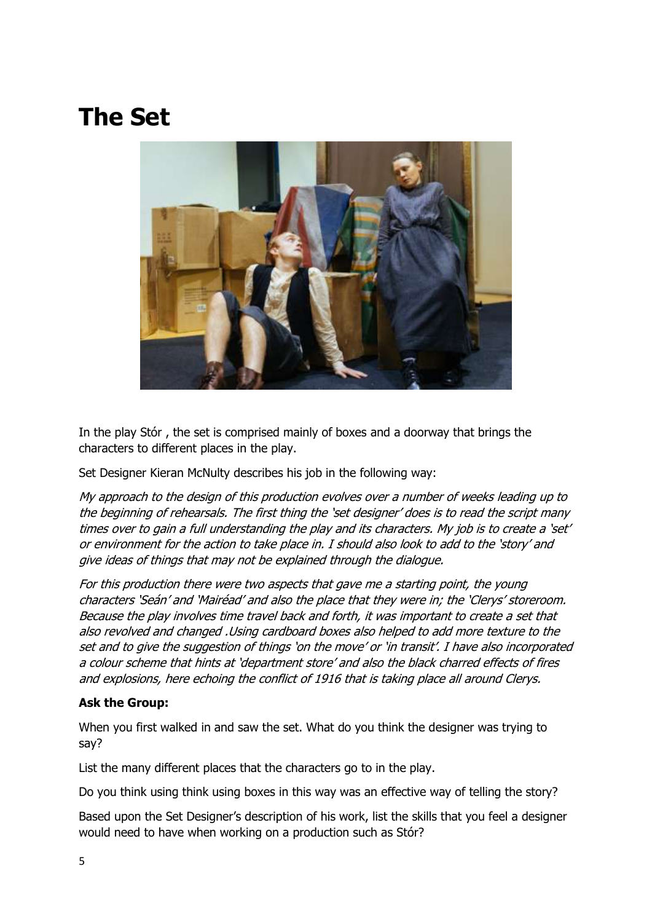# **The Set**



In the play Stór , the set is comprised mainly of boxes and a doorway that brings the characters to different places in the play.

Set Designer Kieran McNulty describes his job in the following way:

My approach to the design of this production evolves over a number of weeks leading up to the beginning of rehearsals. The first thing the 'set designer' does is to read the script many times over to gain a full understanding the play and its characters. My job is to create a 'set' or environment for the action to take place in. I should also look to add to the 'story' and give ideas of things that may not be explained through the dialogue.

For this production there were two aspects that gave me a starting point, the young characters 'Seán' and 'Mairéad' and also the place that they were in; the 'Clerys' storeroom. Because the play involves time travel back and forth, it was important to create a set that also revolved and changed .Using cardboard boxes also helped to add more texture to the set and to give the suggestion of things 'on the move' or 'in transit'. I have also incorporated a colour scheme that hints at 'department store' and also the black charred effects of fires and explosions, here echoing the conflict of 1916 that is taking place all around Clerys.

### **Ask the Group:**

When you first walked in and saw the set. What do you think the designer was trying to say?

List the many different places that the characters go to in the play.

Do you think using think using boxes in this way was an effective way of telling the story?

Based upon the Set Designer's description of his work, list the skills that you feel a designer would need to have when working on a production such as Stór?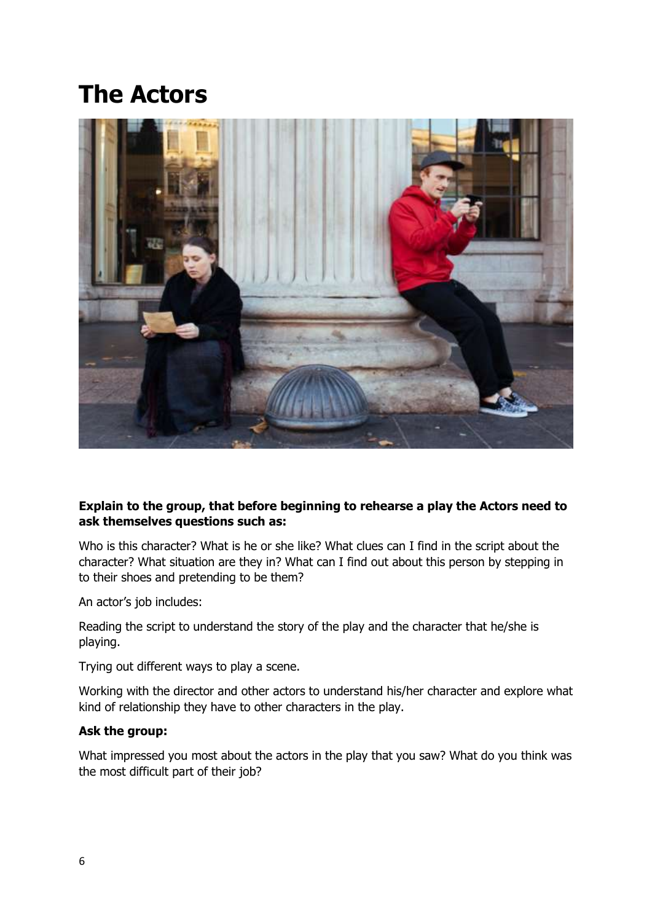# **The Actors**



### **Explain to the group, that before beginning to rehearse a play the Actors need to ask themselves questions such as:**

Who is this character? What is he or she like? What clues can I find in the script about the character? What situation are they in? What can I find out about this person by stepping in to their shoes and pretending to be them?

An actor's job includes:

Reading the script to understand the story of the play and the character that he/she is playing.

Trying out different ways to play a scene.

Working with the director and other actors to understand his/her character and explore what kind of relationship they have to other characters in the play.

### **Ask the group:**

What impressed you most about the actors in the play that you saw? What do you think was the most difficult part of their job?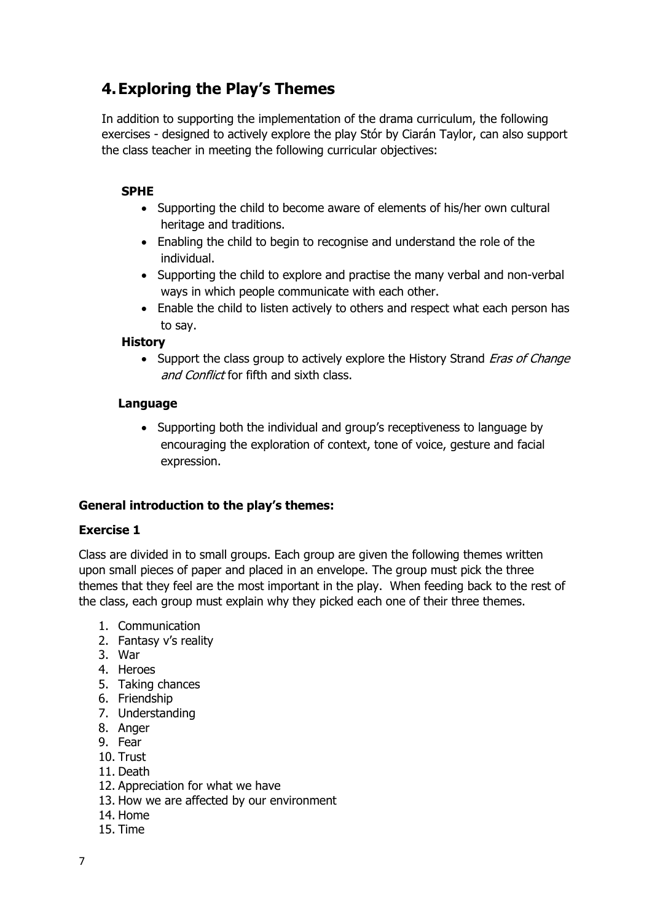# **4.Exploring the Play's Themes**

In addition to supporting the implementation of the drama curriculum, the following exercises - designed to actively explore the play Stór by Ciarán Taylor, can also support the class teacher in meeting the following curricular objectives:

### **SPHE**

- Supporting the child to become aware of elements of his/her own cultural heritage and traditions.
- Enabling the child to begin to recognise and understand the role of the individual.
- Supporting the child to explore and practise the many verbal and non-verbal ways in which people communicate with each other.
- Enable the child to listen actively to others and respect what each person has to say.

### **History**

• Support the class group to actively explore the History Strand *Eras of Change* and Conflict for fifth and sixth class.

#### **Language**

• Supporting both the individual and group's receptiveness to language by encouraging the exploration of context, tone of voice, gesture and facial expression.

### **General introduction to the play's themes:**

### **Exercise 1**

Class are divided in to small groups. Each group are given the following themes written upon small pieces of paper and placed in an envelope. The group must pick the three themes that they feel are the most important in the play. When feeding back to the rest of the class, each group must explain why they picked each one of their three themes.

- 1. Communication
- 2. Fantasy v's reality
- 3. War
- 4. Heroes
- 5. Taking chances
- 6. Friendship
- 7. Understanding
- 8. Anger
- 9. Fear
- 10. Trust
- 11. Death
- 12. Appreciation for what we have
- 13. How we are affected by our environment
- 14. Home
- 15. Time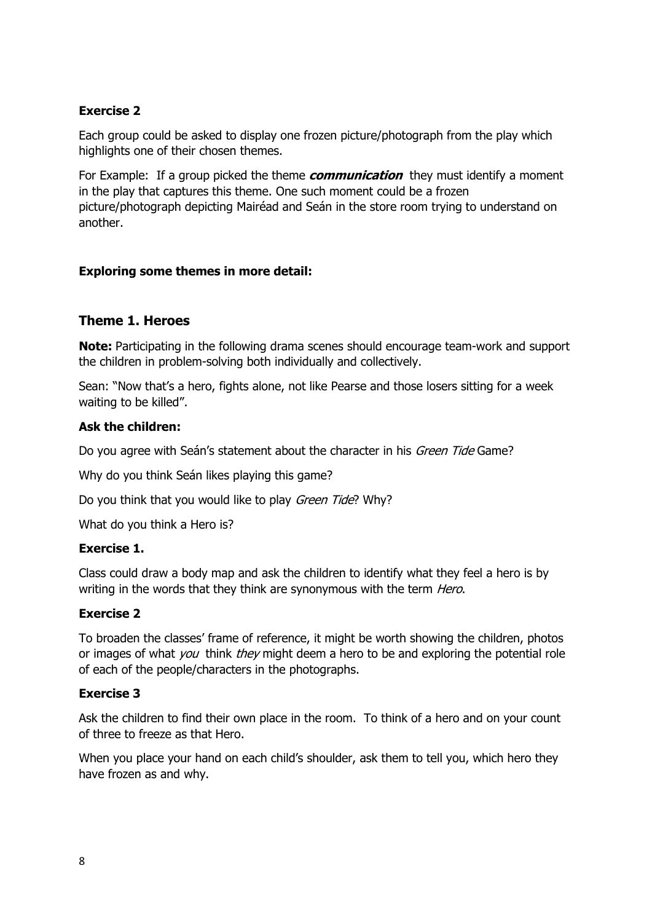### **Exercise 2**

Each group could be asked to display one frozen picture/photograph from the play which highlights one of their chosen themes.

For Example: If a group picked the theme **communication** they must identify a moment in the play that captures this theme. One such moment could be a frozen picture/photograph depicting Mairéad and Seán in the store room trying to understand on another.

### **Exploring some themes in more detail:**

### **Theme 1. Heroes**

**Note:** Participating in the following drama scenes should encourage team-work and support the children in problem-solving both individually and collectively.

Sean: "Now that's a hero, fights alone, not like Pearse and those losers sitting for a week waiting to be killed".

### **Ask the children:**

Do you agree with Seán's statement about the character in his *Green Tide* Game?

Why do you think Seán likes playing this game?

Do you think that you would like to play *Green Tide*? Why?

What do you think a Hero is?

### **Exercise 1.**

Class could draw a body map and ask the children to identify what they feel a hero is by writing in the words that they think are synonymous with the term *Hero*.

### **Exercise 2**

To broaden the classes' frame of reference, it might be worth showing the children, photos or images of what *you* think *they* might deem a hero to be and exploring the potential role of each of the people/characters in the photographs.

#### **Exercise 3**

Ask the children to find their own place in the room. To think of a hero and on your count of three to freeze as that Hero.

When you place your hand on each child's shoulder, ask them to tell you, which hero they have frozen as and why.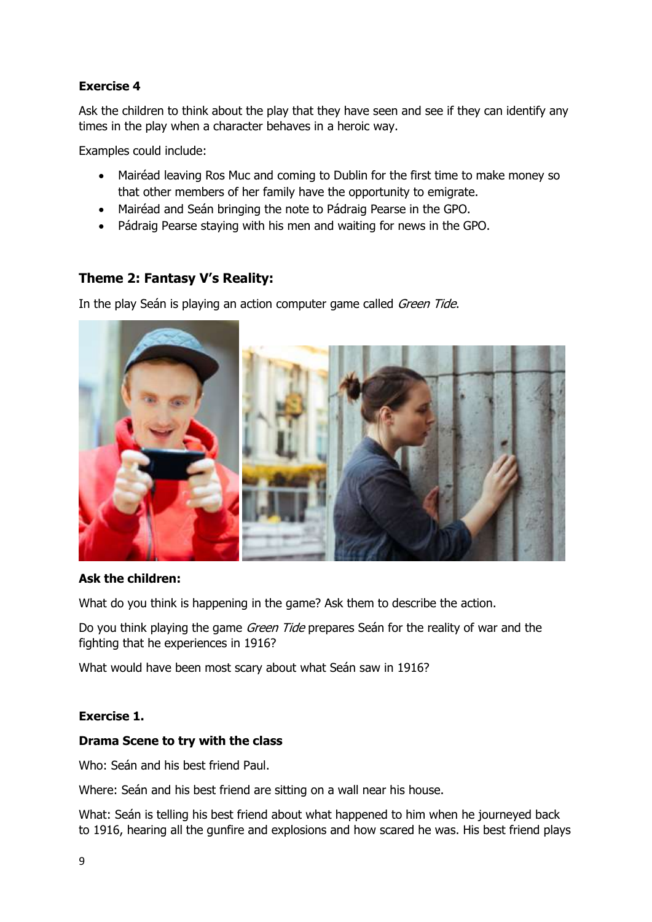### **Exercise 4**

Ask the children to think about the play that they have seen and see if they can identify any times in the play when a character behaves in a heroic way.

Examples could include:

- Mairéad leaving Ros Muc and coming to Dublin for the first time to make money so that other members of her family have the opportunity to emigrate.
- Mairéad and Seán bringing the note to Pádraig Pearse in the GPO.
- Pádraig Pearse staying with his men and waiting for news in the GPO.

### **Theme 2: Fantasy V's Reality:**

In the play Seán is playing an action computer game called Green Tide.



### **Ask the children:**

What do you think is happening in the game? Ask them to describe the action.

Do you think playing the game *Green Tide* prepares Seán for the reality of war and the fighting that he experiences in 1916?

What would have been most scary about what Seán saw in 1916?

### **Exercise 1.**

#### **Drama Scene to try with the class**

Who: Seán and his best friend Paul.

Where: Seán and his best friend are sitting on a wall near his house.

What: Seán is telling his best friend about what happened to him when he journeyed back to 1916, hearing all the gunfire and explosions and how scared he was. His best friend plays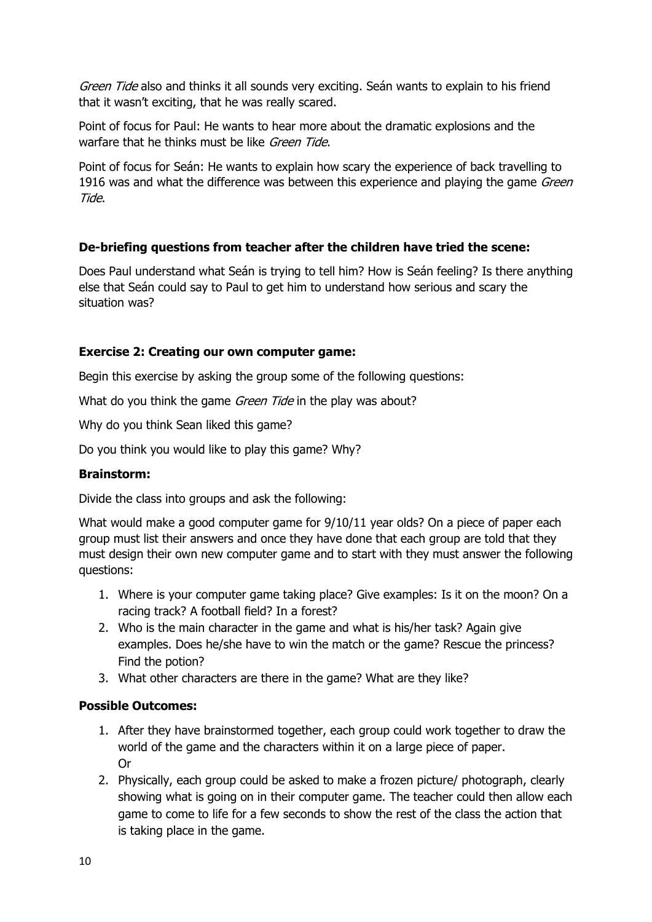Green Tide also and thinks it all sounds very exciting. Seán wants to explain to his friend that it wasn't exciting, that he was really scared.

Point of focus for Paul: He wants to hear more about the dramatic explosions and the warfare that he thinks must be like *Green Tide*.

Point of focus for Seán: He wants to explain how scary the experience of back travelling to 1916 was and what the difference was between this experience and playing the game Green Tide.

### **De-briefing questions from teacher after the children have tried the scene:**

Does Paul understand what Seán is trying to tell him? How is Seán feeling? Is there anything else that Seán could say to Paul to get him to understand how serious and scary the situation was?

### **Exercise 2: Creating our own computer game:**

Begin this exercise by asking the group some of the following questions:

What do you think the game *Green Tide* in the play was about?

Why do you think Sean liked this game?

Do you think you would like to play this game? Why?

### **Brainstorm:**

Divide the class into groups and ask the following:

What would make a good computer game for 9/10/11 year olds? On a piece of paper each group must list their answers and once they have done that each group are told that they must design their own new computer game and to start with they must answer the following questions:

- 1. Where is your computer game taking place? Give examples: Is it on the moon? On a racing track? A football field? In a forest?
- 2. Who is the main character in the game and what is his/her task? Again give examples. Does he/she have to win the match or the game? Rescue the princess? Find the potion?
- 3. What other characters are there in the game? What are they like?

### **Possible Outcomes:**

- 1. After they have brainstormed together, each group could work together to draw the world of the game and the characters within it on a large piece of paper. Or
- 2. Physically, each group could be asked to make a frozen picture/ photograph, clearly showing what is going on in their computer game. The teacher could then allow each game to come to life for a few seconds to show the rest of the class the action that is taking place in the game.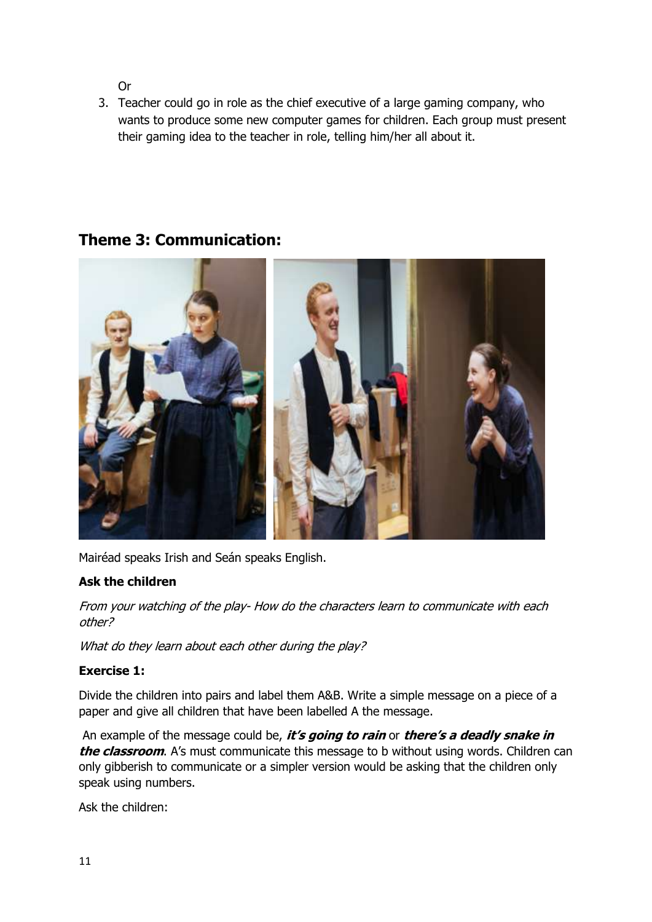Or

3. Teacher could go in role as the chief executive of a large gaming company, who wants to produce some new computer games for children. Each group must present their gaming idea to the teacher in role, telling him/her all about it.



## **Theme 3: Communication:**

Mairéad speaks Irish and Seán speaks English.

### **Ask the children**

From your watching of the play- How do the characters learn to communicate with each other?

What do they learn about each other during the play?

### **Exercise 1:**

Divide the children into pairs and label them A&B. Write a simple message on a piece of a paper and give all children that have been labelled A the message.

An example of the message could be, **it's going to rain** or **there's a deadly snake in the classroom.** A's must communicate this message to b without using words. Children can only gibberish to communicate or a simpler version would be asking that the children only speak using numbers.

Ask the children: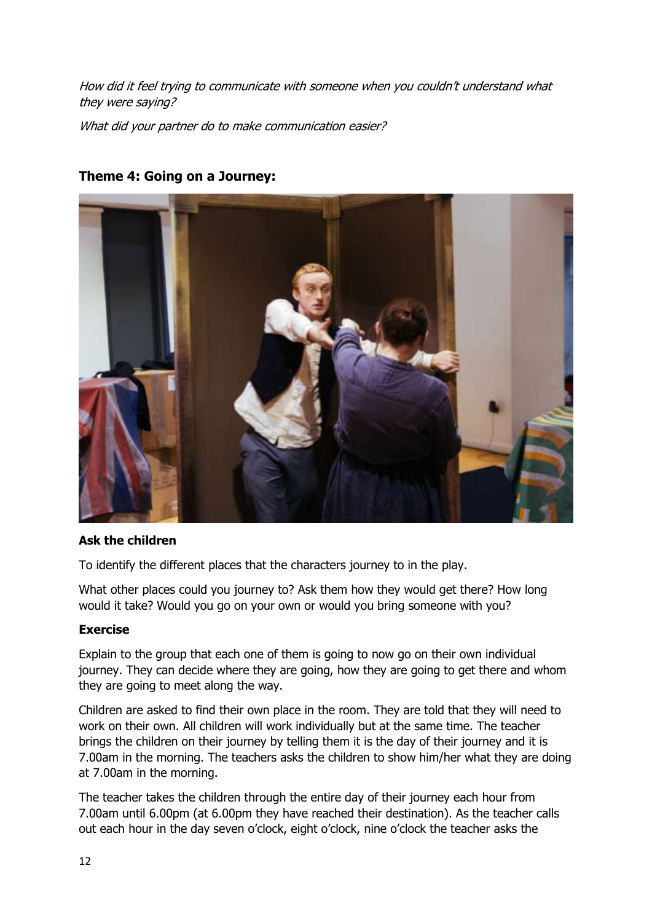How did it feel trying to communicate with someone when you couldn't understand what they were saying?

What did your partner do to make communication easier?



### **Theme 4: Going on a Journey:**

### **Ask the children**

To identify the different places that the characters journey to in the play.

What other places could you journey to? Ask them how they would get there? How long would it take? Would you go on your own or would you bring someone with you?

#### **Exercise**

Explain to the group that each one of them is going to now go on their own individual journey. They can decide where they are going, how they are going to get there and whom they are going to meet along the way.

Children are asked to find their own place in the room. They are told that they will need to work on their own. All children will work individually but at the same time. The teacher brings the children on their journey by telling them it is the day of their journey and it is 7.00am in the morning. The teachers asks the children to show him/her what they are doing at 7.00am in the morning.

The teacher takes the children through the entire day of their journey each hour from 7.00am until 6.00pm (at 6.00pm they have reached their destination). As the teacher calls out each hour in the day seven o'clock, eight o'clock, nine o'clock the teacher asks the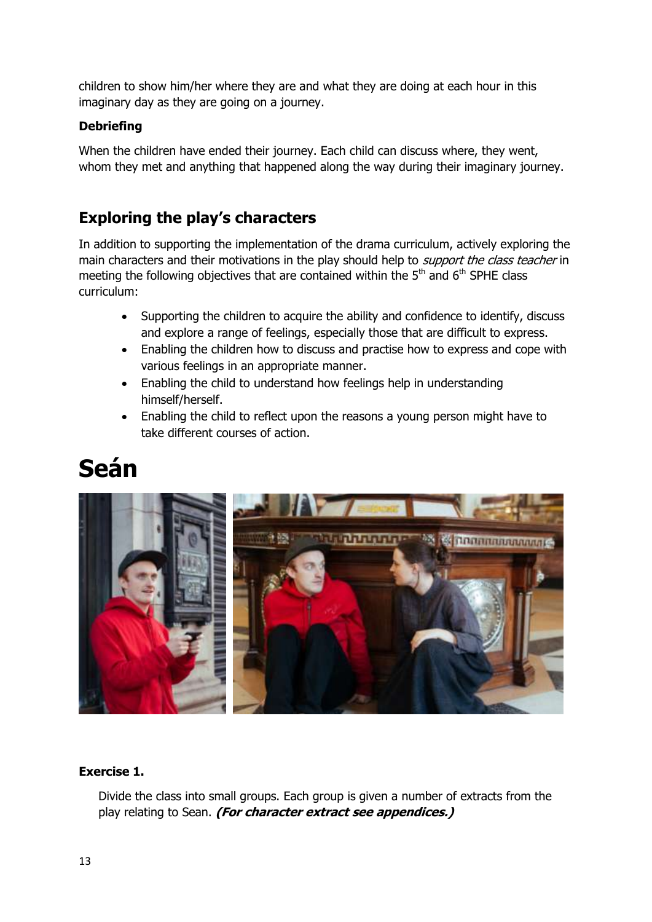children to show him/her where they are and what they are doing at each hour in this imaginary day as they are going on a journey.

### **Debriefing**

When the children have ended their journey. Each child can discuss where, they went, whom they met and anything that happened along the way during their imaginary journey.

# **Exploring the play's characters**

In addition to supporting the implementation of the drama curriculum, actively exploring the main characters and their motivations in the play should help to *support the class teacher* in meeting the following objectives that are contained within the  $5<sup>th</sup>$  and  $6<sup>th</sup>$  SPHE class curriculum:

- Supporting the children to acquire the ability and confidence to identify, discuss and explore a range of feelings, especially those that are difficult to express.
- Enabling the children how to discuss and practise how to express and cope with various feelings in an appropriate manner.
- Enabling the child to understand how feelings help in understanding himself/herself.
- Enabling the child to reflect upon the reasons a young person might have to take different courses of action.

# **Seán**



### **Exercise 1.**

Divide the class into small groups. Each group is given a number of extracts from the play relating to Sean. **(For character extract see appendices.)**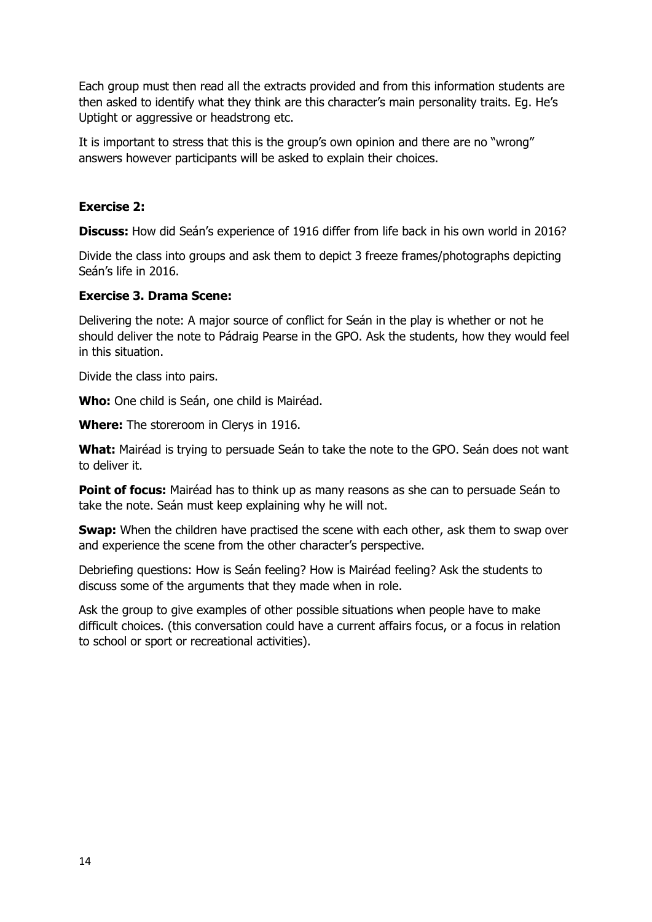Each group must then read all the extracts provided and from this information students are then asked to identify what they think are this character's main personality traits. Eg. He's Uptight or aggressive or headstrong etc.

It is important to stress that this is the group's own opinion and there are no "wrong" answers however participants will be asked to explain their choices.

#### **Exercise 2:**

**Discuss:** How did Seán's experience of 1916 differ from life back in his own world in 2016?

Divide the class into groups and ask them to depict 3 freeze frames/photographs depicting Seán's life in 2016.

#### **Exercise 3. Drama Scene:**

Delivering the note: A major source of conflict for Seán in the play is whether or not he should deliver the note to Pádraig Pearse in the GPO. Ask the students, how they would feel in this situation.

Divide the class into pairs.

**Who:** One child is Seán, one child is Mairéad.

**Where:** The storeroom in Clerys in 1916.

**What:** Mairéad is trying to persuade Seán to take the note to the GPO. Seán does not want to deliver it.

**Point of focus:** Mairéad has to think up as many reasons as she can to persuade Seán to take the note. Seán must keep explaining why he will not.

**Swap:** When the children have practised the scene with each other, ask them to swap over and experience the scene from the other character's perspective.

Debriefing questions: How is Seán feeling? How is Mairéad feeling? Ask the students to discuss some of the arguments that they made when in role.

Ask the group to give examples of other possible situations when people have to make difficult choices. (this conversation could have a current affairs focus, or a focus in relation to school or sport or recreational activities).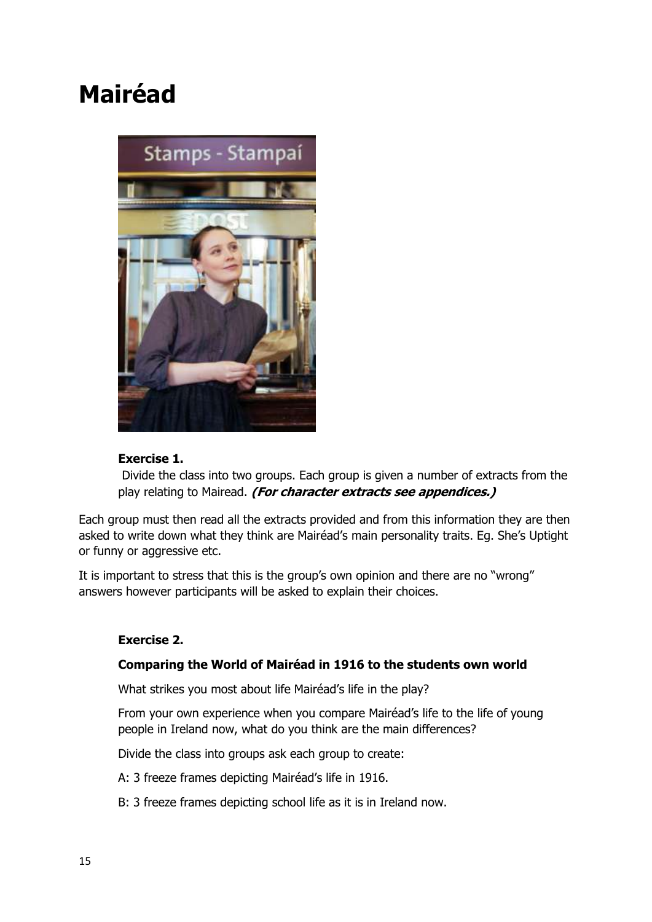# **Mairéad**



### **Exercise 1.**

Divide the class into two groups. Each group is given a number of extracts from the play relating to Mairead. **(For character extracts see appendices.)**

Each group must then read all the extracts provided and from this information they are then asked to write down what they think are Mairéad's main personality traits. Eg. She's Uptight or funny or aggressive etc.

It is important to stress that this is the group's own opinion and there are no "wrong" answers however participants will be asked to explain their choices.

### **Exercise 2.**

#### **Comparing the World of Mairéad in 1916 to the students own world**

What strikes you most about life Mairéad's life in the play?

From your own experience when you compare Mairéad's life to the life of young people in Ireland now, what do you think are the main differences?

Divide the class into groups ask each group to create:

A: 3 freeze frames depicting Mairéad's life in 1916.

B: 3 freeze frames depicting school life as it is in Ireland now.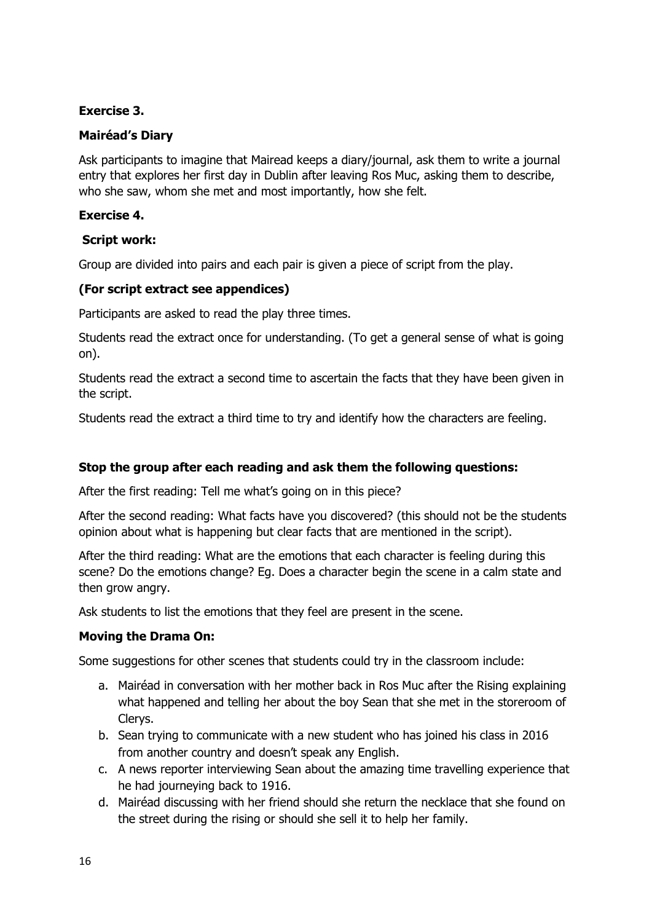### **Exercise 3.**

### **Mairéad's Diary**

Ask participants to imagine that Mairead keeps a diary/journal, ask them to write a journal entry that explores her first day in Dublin after leaving Ros Muc, asking them to describe, who she saw, whom she met and most importantly, how she felt.

### **Exercise 4.**

### **Script work:**

Group are divided into pairs and each pair is given a piece of script from the play.

### **(For script extract see appendices)**

Participants are asked to read the play three times.

Students read the extract once for understanding. (To get a general sense of what is going on).

Students read the extract a second time to ascertain the facts that they have been given in the script.

Students read the extract a third time to try and identify how the characters are feeling.

### **Stop the group after each reading and ask them the following questions:**

After the first reading: Tell me what's going on in this piece?

After the second reading: What facts have you discovered? (this should not be the students opinion about what is happening but clear facts that are mentioned in the script).

After the third reading: What are the emotions that each character is feeling during this scene? Do the emotions change? Eg. Does a character begin the scene in a calm state and then grow angry.

Ask students to list the emotions that they feel are present in the scene.

### **Moving the Drama On:**

Some suggestions for other scenes that students could try in the classroom include:

- a. Mairéad in conversation with her mother back in Ros Muc after the Rising explaining what happened and telling her about the boy Sean that she met in the storeroom of Clerys.
- b. Sean trying to communicate with a new student who has joined his class in 2016 from another country and doesn't speak any English.
- c. A news reporter interviewing Sean about the amazing time travelling experience that he had journeying back to 1916.
- d. Mairéad discussing with her friend should she return the necklace that she found on the street during the rising or should she sell it to help her family.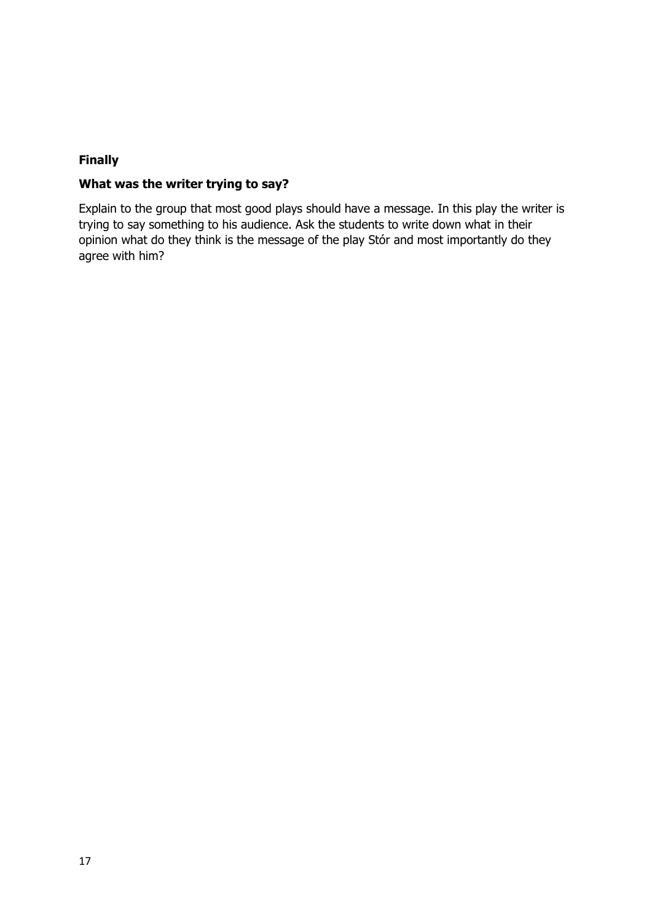### **Finally**

### **What was the writer trying to say?**

Explain to the group that most good plays should have a message. In this play the writer is trying to say something to his audience. Ask the students to write down what in their opinion what do they think is the message of the play Stór and most importantly do they agree with him?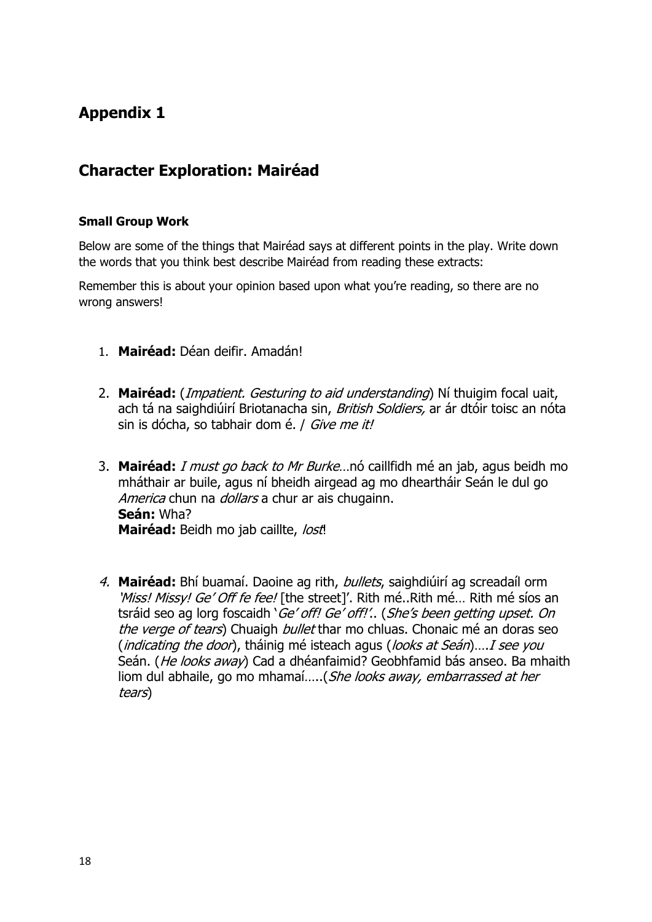# **Appendix 1**

## **Character Exploration: Mairéad**

### **Small Group Work**

Below are some of the things that Mairéad says at different points in the play. Write down the words that you think best describe Mairéad from reading these extracts:

Remember this is about your opinion based upon what you're reading, so there are no wrong answers!

- 1. **Mairéad:** Déan deifir. Amadán!
- 2. **Mairéad:** (Impatient. Gesturing to aid understanding) Ní thuigim focal uait, ach tá na saighdiúirí Briotanacha sin, *British Soldiers*, ar ár dtóir toisc an nóta sin is dócha, so tabhair dom é. / Give me it!
- 3. **Mairéad:** I must go back to Mr Burke…nó caillfidh mé an jab, agus beidh mo mháthair ar buile, agus ní bheidh airgead ag mo dheartháir Seán le dul go America chun na *dollars* a chur ar ais chugainn. **Seán:** Wha? **Mairéad:** Beidh mo jab caillte, lost!
- 4. **Mairéad:** Bhí buamaí. Daoine ag rith, bullets, saighdiúirí ag screadaíl orm 'Miss! Missy! Ge' Off fe fee! [the street]'. Rith mé..Rith mé... Rith mé síos an tsráid seo ag lorg foscaidh 'Ge' off! Ge' off!'.. (She's been getting upset. On the verge of tears) Chuaigh *bullet* thar mo chluas. Chonaic mé an doras seo (*indicating the door*), tháinig mé isteach agus (*looks at Seán*)....*I see you* Seán. (He looks away) Cad a dhéanfaimid? Geobhfamid bás anseo. Ba mhaith liom dul abhaile, go mo mhamaí…..(She looks away, embarrassed at her tears)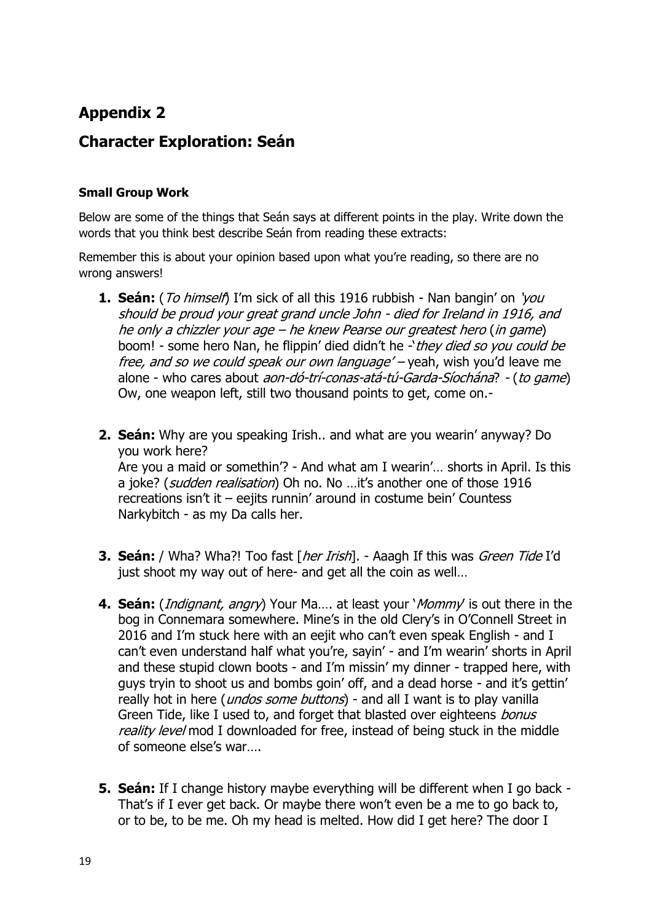# **Appendix 2**

## **Character Exploration: Seán**

### **Small Group Work**

Below are some of the things that Seán says at different points in the play. Write down the words that you think best describe Seán from reading these extracts:

Remember this is about your opinion based upon what you're reading, so there are no wrong answers!

- **1. Seán:** (*To himself*) I'm sick of all this 1916 rubbish Nan bangin' on 'you should be proud your great grand uncle John - died for Ireland in 1916, and he only a chizzler your age – he knew Pearse our greatest hero (in game) boom! - some hero Nan, he flippin' died didn't he -'they died so you could be free, and so we could speak our own language' – yeah, wish you'd leave me alone - who cares about aon-dó-trí-conas-atá-tú-Garda-Síochána? - (to game) Ow, one weapon left, still two thousand points to get, come on.-
- **2. Seán:** Why are you speaking Irish.. and what are you wearin' anyway? Do you work here? Are you a maid or somethin'? - And what am I wearin'… shorts in April. Is this a joke? (*sudden realisation*) Oh no. No ... it's another one of those 1916 recreations isn't it – eejits runnin' around in costume bein' Countess Narkybitch - as my Da calls her.
- **3. Seán:** / Wha? Wha?! Too fast [*her Irish*]. Aaagh If this was *Green Tide* I'd just shoot my way out of here- and get all the coin as well…
- **4. Seán:** (Indignant, angry) Your Ma…. at least your 'Mommy' is out there in the bog in Connemara somewhere. Mine's in the old Clery's in O'Connell Street in 2016 and I'm stuck here with an eejit who can't even speak English - and I can't even understand half what you're, sayin' - and I'm wearin' shorts in April and these stupid clown boots - and I'm missin' my dinner - trapped here, with guys tryin to shoot us and bombs goin' off, and a dead horse - and it's gettin' really hot in here (*undos some buttons*) - and all I want is to play vanilla Green Tide, like I used to, and forget that blasted over eighteens *bonus* reality level mod I downloaded for free, instead of being stuck in the middle of someone else's war….
- **5. Seán:** If I change history maybe everything will be different when I go back That's if I ever get back. Or maybe there won't even be a me to go back to, or to be, to be me. Oh my head is melted. How did I get here? The door I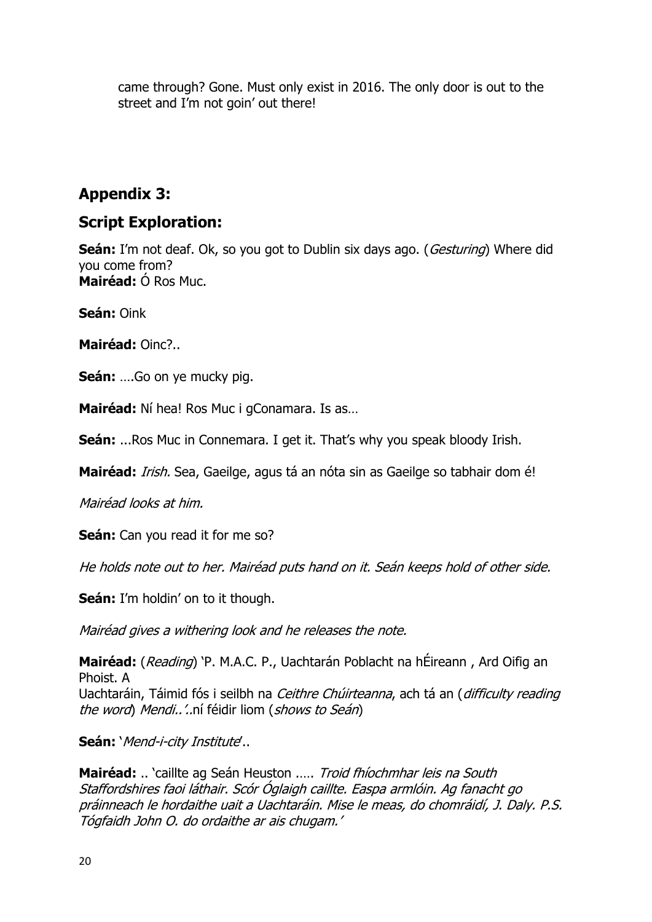came through? Gone. Must only exist in 2016. The only door is out to the street and I'm not goin' out there!

### **Appendix 3:**

### **Script Exploration:**

**Seán:** I'm not deaf. Ok, so you got to Dublin six days ago. (*Gesturing*) Where did you come from? **Mairéad:** Ó Ros Muc.

**Seán:** Oink

**Mairéad:** Oinc?..

**Seán:** ….Go on ye mucky pig.

**Mairéad:** Ní hea! Ros Muc i gConamara. Is as…

**Seán:** ...Ros Muc in Connemara. I get it. That's why you speak bloody Irish.

**Mairéad:** Irish. Sea, Gaeilge, agus tá an nóta sin as Gaeilge so tabhair dom é!

Mairéad looks at him.

**Seán:** Can you read it for me so?

He holds note out to her. Mairéad puts hand on it. Seán keeps hold of other side.

**Seán:** I'm holdin' on to it though.

Mairéad gives a withering look and he releases the note.

**Mairéad:** (Reading) 'P. M.A.C. P., Uachtarán Poblacht na hÉireann , Ard Oifig an Phoist. A Uachtaráin, Táimid fós i seilbh na *Ceithre Chúirteanna*, ach tá an (*difficulty reading* the word) Mendi..'..ní féidir liom (shows to Seán)

**Seán:** 'Mend-i-city Institute'..

**Mairéad:** .. 'caillte ag Seán Heuston .…. Troid fhíochmhar leis na South Staffordshires faoi láthair. Scór Óglaigh caillte. Easpa armlóin. Ag fanacht go práinneach le hordaithe uait a Uachtaráin. Mise le meas, do chomráidí, J. Daly. P.S. Tógfaidh John O. do ordaithe ar ais chugam.'